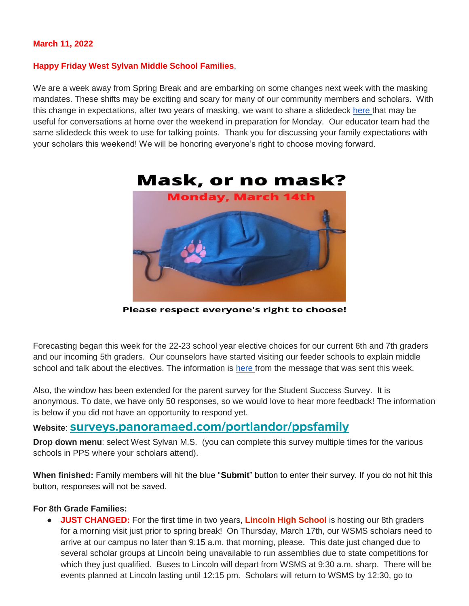#### **March 11, 2022**

#### **Happy Friday West Sylvan Middle School Families**,

We are a week away from Spring Break and are embarking on some changes next week with the masking mandates. These shifts may be exciting and scary for many of our community members and scholars. With this change in expectations, after two years of masking, we want to share a slidedeck [here t](https://docs.google.com/presentation/d/1tIajHxRnltQPu6LkJJ06T1umyWEcKhiAxRxvG1xyB_U/edit?usp=sharing)hat may be useful for conversations at home over the weekend in preparation for Monday. Our educator team had the same slidedeck this week to use for talking points. Thank you for discussing your family expectations with your scholars this weekend! We will be honoring everyone's right to choose moving forward.



Please respect everyone's right to choose!

Forecasting began this week for the 22-23 school year elective choices for our current 6th and 7th graders and our incoming 5th graders. Our counselors have started visiting our feeder schools to explain middle school and talk about the electives. The information is [here f](https://docs.google.com/document/d/105XXx6Z7Qz5ui7o-kmTNqqa7cryFH5nBhyOaNz_PNsY/edit?usp=sharing)rom the message that was sent this week.

Also, the window has been extended for the parent survey for the Student Success Survey. It is anonymous. To date, we have only 50 responses, so we would love to hear more feedback! The information is below if you did not have an opportunity to respond yet.

# **Website**: **[surveys.panoramaed.com/portlandor/ppsfamily](https://surveys.panoramaed.com/portlandor/ppsfamily)**

**Drop down menu**: select West Sylvan M.S. (you can complete this survey multiple times for the various schools in PPS where your scholars attend).

**When finished:** Family members will hit the blue "**Submit**" button to enter their survey. If you do not hit this button, responses will not be saved.

#### **For 8th Grade Families:**

● **JUST CHANGED:** For the first time in two years, **Lincoln High School** is hosting our 8th graders for a morning visit just prior to spring break! On Thursday, March 17th, our WSMS scholars need to arrive at our campus no later than 9:15 a.m. that morning, please. This date just changed due to several scholar groups at Lincoln being unavailable to run assemblies due to state competitions for which they just qualified. Buses to Lincoln will depart from WSMS at 9:30 a.m. sharp. There will be events planned at Lincoln lasting until 12:15 pm. Scholars will return to WSMS by 12:30, go to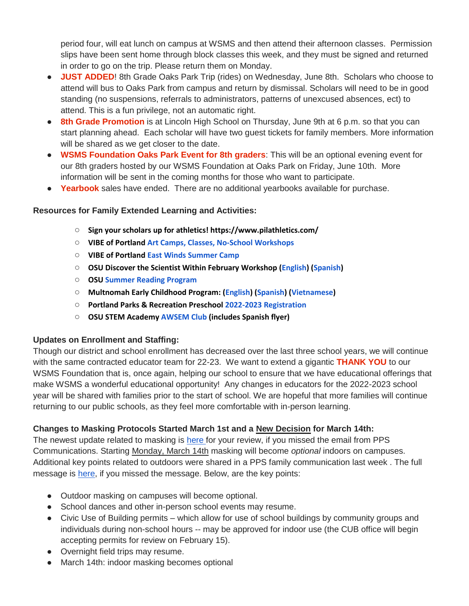period four, will eat lunch on campus at WSMS and then attend their afternoon classes. Permission slips have been sent home through block classes this week, and they must be signed and returned in order to go on the trip. Please return them on Monday.

- **JUST ADDED**! 8th Grade Oaks Park Trip (rides) on Wednesday, June 8th. Scholars who choose to attend will bus to Oaks Park from campus and return by dismissal. Scholars will need to be in good standing (no suspensions, referrals to administrators, patterns of unexcused absences, ect) to attend. This is a fun privilege, not an automatic right.
- **8th Grade Promotion** is at Lincoln High School on Thursday, June 9th at 6 p.m. so that you can start planning ahead. Each scholar will have two guest tickets for family members. More information will be shared as we get closer to the date.
- **WSMS Foundation Oaks Park Event for 8th graders**: This will be an optional evening event for our 8th graders hosted by our WSMS Foundation at Oaks Park on Friday, June 10th. More information will be sent in the coming months for those who want to participate.
- **Yearbook** sales have ended. There are no additional yearbooks available for purchase.

## **Resources for Family Extended Learning and Activities:**

- **Sign your scholars up for athletics! https://www.pilathletics.com/**
- **VIBE of Portland [Art Camps, Classes, No-School Workshops](https://www.pps.net/cms/lib/OR01913224/Centricity/Domain/254/VIBE.jpeg)**
- **VIBE of Portland East [Winds Summer Camp](https://www.pps.net/cms/lib/OR01913224/Centricity/Domain/254/VIBE-east_winds_2022.jpeg)**
- **OSU Discover the Scientist Within February Workshop [\(English\)](https://www.pps.net/cms/lib/OR01913224/Centricity/Domain/254/FebDSW2022Flyer.pdf) [\(Spanish\)](https://www.pps.net/cms/lib/OR01913224/Centricity/Domain/254/FebDSW2022FlyerSpanish.pdf)**
- **OSU [Summer Reading Program](https://www.pps.net/cms/lib/OR01913224/Centricity/Domain/254/OSU-reading-summer-2022.pdf)**
- **Multnomah Early Childhood Program: [\(English\)](https://www.pps.net/cms/lib/OR01913224/Centricity/Domain/254/MECP-2021-22-PEER-Flyer-English.pdf) [\(Spanish\)](https://www.pps.net/cms/lib/OR01913224/Centricity/Domain/254/MECP-2021-22-PEER-Flyer-Spanish.pdf) [\(Vietnamese\)](https://www.pps.net/cms/lib/OR01913224/Centricity/Domain/254/MECP-2021-22-PEER-Flyer-Vietnamese.pdf)**
- **Portland Parks & Recreation Preschool [2022-2023 Registration](https://www.pps.net/cms/lib/OR01913224/Centricity/Domain/254/PPR-Preschool-22-23-price-sheet.pdf)**
- **OSU STEM Academy [AWSEM](https://www.pps.net/cms/lib/OR01913224/Centricity/Domain/254/AWSEM_Flyer_Combined_General.pdf) [Club](https://www.pps.net/cms/lib/OR01913224/Centricity/Domain/254/AWSEM_Flyer_Combined_General.pdf) (includes Spanish flyer)**

### **Updates on Enrollment and Staffing:**

Though our district and school enrollment has decreased over the last three school years, we will continue with the same contracted educator team for 22-23. We want to extend a gigantic **THANK YOU** to our WSMS Foundation that is, once again, helping our school to ensure that we have educational offerings that make WSMS a wonderful educational opportunity! Any changes in educators for the 2022-2023 school year will be shared with families prior to the start of school. We are hopeful that more families will continue returning to our public schools, as they feel more comfortable with in-person learning.

### **Changes to Masking Protocols Started March 1st and a New Decision for March 14th:**

The newest update related to masking is [here f](https://drive.google.com/file/d/1Xo1sGWWBAFFDOqgBEB9QDlhxt8R43Wjk/view?usp=sharing)or your review, if you missed the email from PPS Communications. Starting Monday, March 14th masking will become *optional* indoors on campuses. Additional key points related to outdoors were shared in a PPS family communication last week . The full message is [here,](https://drive.google.com/file/d/13aBVxIetQ38YfjAiIGkBfWhyu0upmQDy/view?usp=sharing) if you missed the message. Below, are the key points:

- Outdoor masking on campuses will become optional.
- School dances and other in-person school events may resume.
- Civic Use of Building permits which allow for use of school buildings by community groups and individuals during non-school hours -- may be approved for indoor use (the CUB office will begin accepting permits for review on February 15).
- Overnight field trips may resume.
- March 14th: indoor masking becomes optional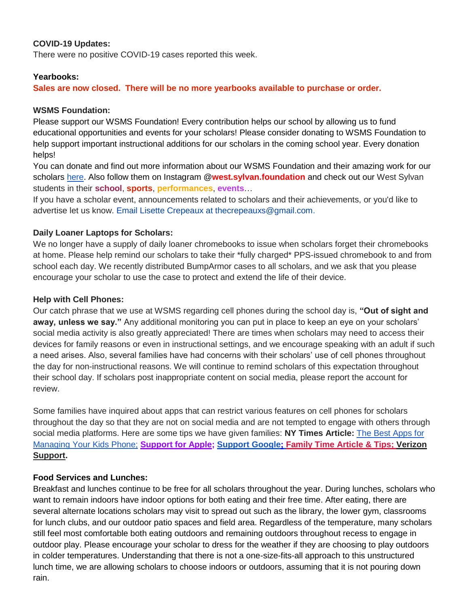#### **COVID-19 Updates:**

There were no positive COVID-19 cases reported this week.

#### **Yearbooks:**

**Sales are now closed. There will be no more yearbooks available to purchase or order.** 

#### **WSMS Foundation:**

Please support our WSMS Foundation! Every contribution helps our school by allowing us to fund educational opportunities and events for your scholars! Please consider donating to WSMS Foundation to help support important instructional additions for our scholars in the coming school year. Every donation helps!

You can donate and find out more information about our WSMS Foundation and their amazing work for our scholars [here.](https://www.westsylvanfoundation.com/) Also follow them on Instagram @**west.sylvan.foundation** and check out our West Sylvan students in their **school**, **sports**, **performances**, **events**…

If you have a scholar event, announcements related to scholars and their achievements, or you'd like to advertise let us know. Email Lisette Crepeaux at thecrepeauxs@gmail.com.

#### **Daily Loaner Laptops for Scholars:**

We no longer have a supply of daily loaner chromebooks to issue when scholars forget their chromebooks at home. Please help remind our scholars to take their \*fully charged\* PPS-issued chromebook to and from school each day. We recently distributed BumpArmor cases to all scholars, and we ask that you please encourage your scholar to use the case to protect and extend the life of their device.

#### **Help with Cell Phones:**

Our catch phrase that we use at WSMS regarding cell phones during the school day is, **"Out of sight and away, unless we say."** Any additional monitoring you can put in place to keep an eye on your scholars' social media activity is also greatly appreciated! There are times when scholars may need to access their devices for family reasons or even in instructional settings, and we encourage speaking with an adult if such a need arises. Also, several families have had concerns with their scholars' use of cell phones throughout the day for non-instructional reasons. We will continue to remind scholars of this expectation throughout their school day. If scholars post inappropriate content on social media, please report the account for review.

Some families have inquired about apps that can restrict various features on cell phones for scholars throughout the day so that they are not on social media and are not tempted to engage with others through social media platforms. Here are some tips we have given families: **NY Times Article:** [The Best Apps for](https://www.nytimes.com/wirecutter/reviews/best-apps-to-manage-your-kids-phone/)  [Managing Your Kids Phone;](https://www.nytimes.com/wirecutter/reviews/best-apps-to-manage-your-kids-phone/) **[Support for Apple;](https://support.apple.com/guide/iphone/set-up-parental-controls-iph00ba7d632/ios) [Support Google](https://support.google.com/families/answer/7103340?hl=en)[;](https://familytime.io/) [Family Time Article & Tips;](https://familytime.io/) [Verizon](https://www.verizon.com/support/verizon-smart-family-restrictions-video/)  [Support.](https://www.verizon.com/support/verizon-smart-family-restrictions-video/)** 

## **Food Services and Lunches:**

Breakfast and lunches continue to be free for all scholars throughout the year. During lunches, scholars who want to remain indoors have indoor options for both eating and their free time. After eating, there are several alternate locations scholars may visit to spread out such as the library, the lower gym, classrooms for lunch clubs, and our outdoor patio spaces and field area. Regardless of the temperature, many scholars still feel most comfortable both eating outdoors and remaining outdoors throughout recess to engage in outdoor play. Please encourage your scholar to dress for the weather if they are choosing to play outdoors in colder temperatures. Understanding that there is not a one-size-fits-all approach to this unstructured lunch time, we are allowing scholars to choose indoors or outdoors, assuming that it is not pouring down rain.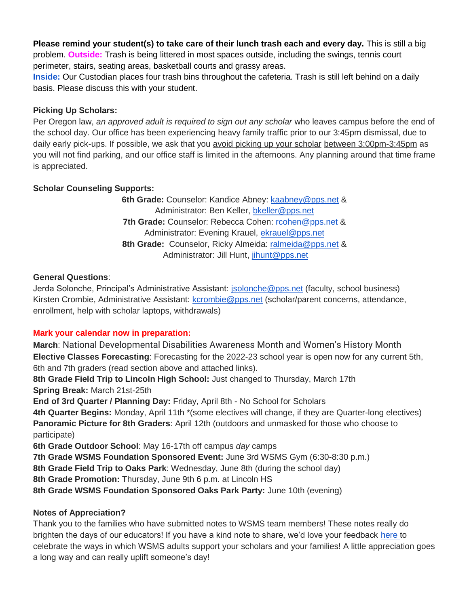**Please remind your student(s) to take care of their lunch trash each and every day.** This is still a big problem. **Outside:** Trash is being littered in most spaces outside, including the swings, tennis court perimeter, stairs, seating areas, basketball courts and grassy areas.

**Inside:** Our Custodian places four trash bins throughout the cafeteria. Trash is still left behind on a daily basis. Please discuss this with your student.

## **Picking Up Scholars:**

Per Oregon law, *an approved adult is required to sign out any scholar* who leaves campus before the end of the school day. Our office has been experiencing heavy family traffic prior to our 3:45pm dismissal, due to daily early pick-ups. If possible, we ask that you avoid picking up your scholar between 3:00pm-3:45pm as you will not find parking, and our office staff is limited in the afternoons. Any planning around that time frame is appreciated.

## **Scholar Counseling Supports:**

**6th Grade:** Counselor: Kandice Abney: [kaabney@pps.net](mailto:kaabney@pps.net) & Administrator: Ben Keller, [bkeller@pps.net](mailto:bkeller@pps.net) 7th Grade: Counselor: Rebecca Cohen: [rcohen@pps.net](mailto:rcohen@pps.net) & Administrator: Evening Krauel, [ekrauel@pps.net](mailto:ekrauel@pps.net) 8th Grade: Counselor, Ricky Almeida: [ralmeida@pps.net](mailto:ralmeida@pps.net) & Administrator: Jill Hunt, [jihunt@pps.net](mailto:jihunt@pps.net)

### **General Questions**:

Jerda Solonche, Principal's Administrative Assistant: [jsolonche@pps.net](mailto:jsolonche@pps.net) (faculty, school business) Kirsten Crombie, Administrative Assistant: [kcrombie@pps.net](mailto:kcrombie@pps.net) (scholar/parent concerns, attendance, enrollment, help with scholar laptops, withdrawals)

## **Mark your calendar now in preparation:**

**March**: National Developmental Disabilities Awareness Month and Women's History Month **Elective Classes Forecasting**: Forecasting for the 2022-23 school year is open now for any current 5th, 6th and 7th graders (read section above and attached links).

**8th Grade Field Trip to Lincoln High School:** Just changed to Thursday, March 17th **Spring Break:** March 21st-25th

**End of 3rd Quarter / Planning Day:** Friday, April 8th - No School for Scholars

**4th Quarter Begins:** Monday, April 11th \*(some electives will change, if they are Quarter-long electives) **Panoramic Picture for 8th Graders**: April 12th (outdoors and unmasked for those who choose to participate)

**6th Grade Outdoor School**: May 16-17th off campus *day* camps

**7th Grade WSMS Foundation Sponsored Event:** June 3rd WSMS Gym (6:30-8:30 p.m.)

**8th Grade Field Trip to Oaks Park**: Wednesday, June 8th (during the school day)

**8th Grade Promotion:** Thursday, June 9th 6 p.m. at Lincoln HS

**8th Grade WSMS Foundation Sponsored Oaks Park Party:** June 10th (evening)

## **Notes of Appreciation?**

Thank you to the families who have submitted notes to WSMS team members! These notes really do brighten the days of our educators! If you have a kind note to share, we'd love your feedback [here t](https://forms.gle/3TsJKYDfcfbLhiKu7)o celebrate the ways in which WSMS adults support your scholars and your families! A little appreciation goes a long way and can really uplift someone's day!